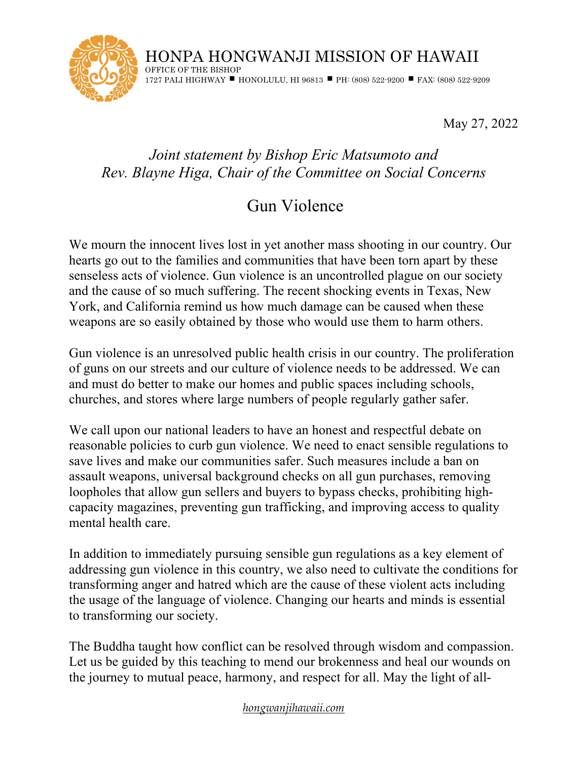

HONPA HONGWANJI MISSION OF HAWAII OFFICE OF THE BISHOP 1727 PALI HIGHWAY ■ HONOLULU, HI 96813 ■ PH: (808) 522-9200 ■ FAX: (808) 522-9209

May 27, 2022

## *Joint statement by Bishop Eric Matsumoto and Rev. Blayne Higa, Chair of the Committee on Social Concerns*

## Gun Violence

We mourn the innocent lives lost in yet another mass shooting in our country. Our hearts go out to the families and communities that have been torn apart by these senseless acts of violence. Gun violence is an uncontrolled plague on our society and the cause of so much suffering. The recent shocking events in Texas, New York, and California remind us how much damage can be caused when these weapons are so easily obtained by those who would use them to harm others.

Gun violence is an unresolved public health crisis in our country. The proliferation of guns on our streets and our culture of violence needs to be addressed. We can and must do better to make our homes and public spaces including schools, churches, and stores where large numbers of people regularly gather safer.

We call upon our national leaders to have an honest and respectful debate on reasonable policies to curb gun violence. We need to enact sensible regulations to save lives and make our communities safer. Such measures include a ban on assault weapons, universal background checks on all gun purchases, removing loopholes that allow gun sellers and buyers to bypass checks, prohibiting highcapacity magazines, preventing gun trafficking, and improving access to quality mental health care.

In addition to immediately pursuing sensible gun regulations as a key element of addressing gun violence in this country, we also need to cultivate the conditions for transforming anger and hatred which are the cause of these violent acts including the usage of the language of violence. Changing our hearts and minds is essential to transforming our society.

The Buddha taught how conflict can be resolved through wisdom and compassion. Let us be guided by this teaching to mend our brokenness and heal our wounds on the journey to mutual peace, harmony, and respect for all. May the light of all-

## *hongwanjihawaii.com*